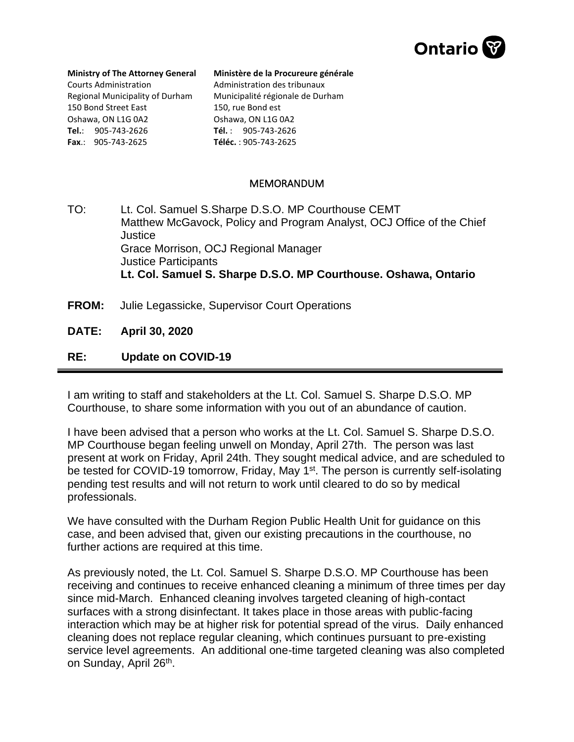

## **Ministry of The Attorney General** Courts Administration Regional Municipality of Durham 150 Bond Street East Oshawa, ON L1G 0A2 **Tel.**: 905-743-2626 **Fax**.: 905-743-2625

## **Ministère de la Procureure générale**

Administration des tribunaux Municipalité régionale de Durham 150, rue Bond est Oshawa, ON L1G 0A2 **Tél.** : 905-743-2626 **Téléc.** : 905-743-2625

## MEMORANDUM

TO: Lt. Col. Samuel S.Sharpe D.S.O. MP Courthouse CEMT Matthew McGavock, Policy and Program Analyst, OCJ Office of the Chief Justice Grace Morrison, OCJ Regional Manager Justice Participants  **Lt. Col. Samuel S. Sharpe D.S.O. MP Courthouse. Oshawa, Ontario** 

**FROM:** Julie Legassicke, Supervisor Court Operations

**DATE: April 30, 2020**

## **RE: Update on COVID-19**

I am writing to staff and stakeholders at the Lt. Col. Samuel S. Sharpe D.S.O. MP Courthouse, to share some information with you out of an abundance of caution.

I have been advised that a person who works at the Lt. Col. Samuel S. Sharpe D.S.O. MP Courthouse began feeling unwell on Monday, April 27th. The person was last present at work on Friday, April 24th. They sought medical advice, and are scheduled to be tested for COVID-19 tomorrow, Friday, May 1<sup>st</sup>. The person is currently self-isolating pending test results and will not return to work until cleared to do so by medical professionals.

We have consulted with the Durham Region Public Health Unit for guidance on this case, and been advised that, given our existing precautions in the courthouse, no further actions are required at this time.

As previously noted, the Lt. Col. Samuel S. Sharpe D.S.O. MP Courthouse has been receiving and continues to receive enhanced cleaning a minimum of three times per day since mid-March. Enhanced cleaning involves targeted cleaning of high-contact surfaces with a strong disinfectant. It takes place in those areas with public-facing interaction which may be at higher risk for potential spread of the virus. Daily enhanced cleaning does not replace regular cleaning, which continues pursuant to pre-existing service level agreements. An additional one-time targeted cleaning was also completed on Sunday, April 26<sup>th</sup>.